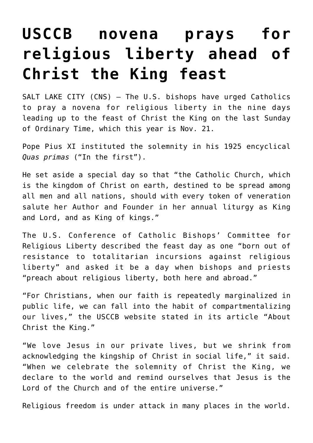## **[USCCB novena prays for](https://www.osvnews.com/amp/2021/11/12/usccb-novena-prays-for-religious-liberty-ahead-of-christ-the-king-feast/) [religious liberty ahead of](https://www.osvnews.com/amp/2021/11/12/usccb-novena-prays-for-religious-liberty-ahead-of-christ-the-king-feast/) [Christ the King feast](https://www.osvnews.com/amp/2021/11/12/usccb-novena-prays-for-religious-liberty-ahead-of-christ-the-king-feast/)**

SALT LAKE CITY (CNS) — The U.S. bishops have urged Catholics to pray a novena for religious liberty in the nine days leading up to the feast of Christ the King on the last Sunday of Ordinary Time, which this year is Nov. 21.

Pope Pius XI instituted the solemnity in his 1925 encyclical *Quas primas* ("In the first").

He set aside a special day so that "the Catholic Church, which is the kingdom of Christ on earth, destined to be spread among all men and all nations, should with every token of veneration salute her Author and Founder in her annual liturgy as King and Lord, and as King of kings."

The U.S. Conference of Catholic Bishops' Committee for Religious Liberty described the feast day as one "born out of resistance to totalitarian incursions against religious liberty" and asked it be a day when bishops and priests "preach about religious liberty, both here and abroad."

"For Christians, when our faith is repeatedly marginalized in public life, we can fall into the habit of compartmentalizing our lives," the USCCB website stated in its article "About Christ the King."

"We love Jesus in our private lives, but we shrink from acknowledging the kingship of Christ in social life," it said. "When we celebrate the solemnity of Christ the King, we declare to the world and remind ourselves that Jesus is the Lord of the Church and of the entire universe."

Religious freedom is under attack in many places in the world.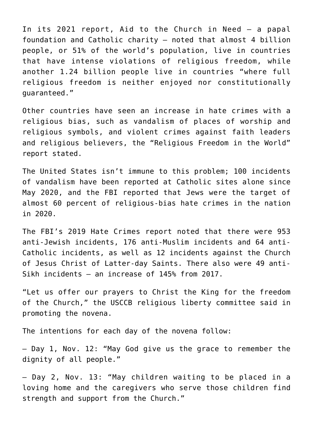In its 2021 report, Aid to the Church in Need  $-$  a papal foundation and Catholic charity — noted that almost 4 billion people, or 51% of the world's population, live in countries that have intense violations of religious freedom, while another 1.24 billion people live in countries "where full religious freedom is neither enjoyed nor constitutionally guaranteed."

Other countries have seen an increase in hate crimes with a religious bias, such as vandalism of places of worship and religious symbols, and violent crimes against faith leaders and religious believers, the "Religious Freedom in the World" report stated.

The United States isn't immune to this problem; 100 incidents of vandalism have been reported at Catholic sites alone since May 2020, and the FBI reported that Jews were the target of almost 60 percent of religious-bias hate crimes in the nation in 2020.

The FBI's 2019 Hate Crimes report noted that there were 953 anti-Jewish incidents, 176 anti-Muslim incidents and 64 anti-Catholic incidents, as well as 12 incidents against the Church of Jesus Christ of Latter-day Saints. There also were 49 anti-Sikh incidents — an increase of 145% from 2017.

"Let us offer our prayers to Christ the King for the freedom of the Church," the USCCB religious liberty committee said in promoting the novena.

The intentions for each day of the novena follow:

— Day 1, Nov. 12: "May God give us the grace to remember the dignity of all people."

— Day 2, Nov. 13: "May children waiting to be placed in a loving home and the caregivers who serve those children find strength and support from the Church."